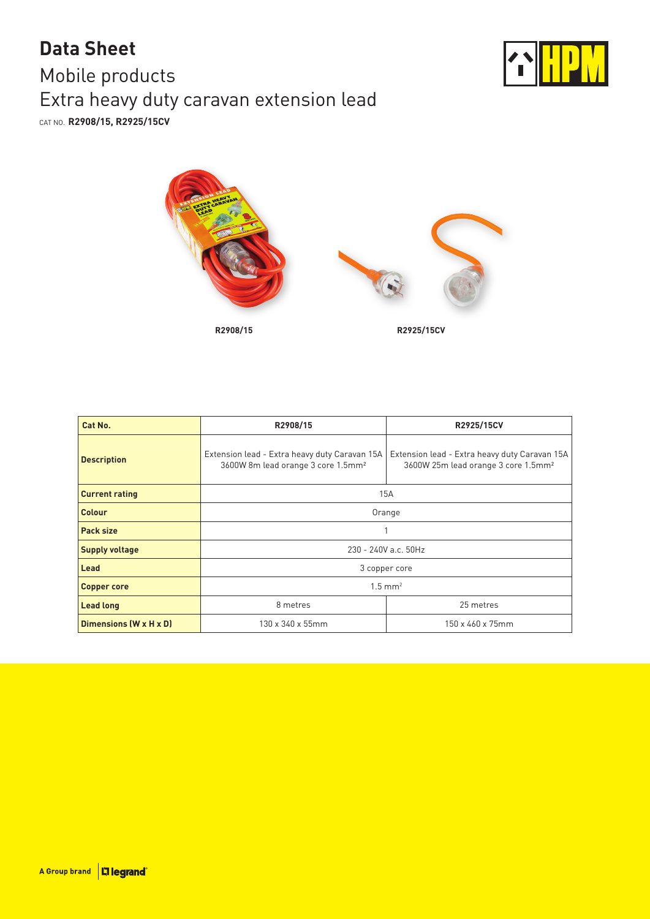## Mobile products Extra heavy duty caravan extension lead CAT NO. **R2908/15, R2925/15CV Data Sheet**





| Cat No.                | R2908/15                                                                                        | R2925/15CV                                                                                       |  |
|------------------------|-------------------------------------------------------------------------------------------------|--------------------------------------------------------------------------------------------------|--|
| <b>Description</b>     | Extension lead - Extra heavy duty Caravan 15A<br>3600W 8m lead orange 3 core 1.5mm <sup>2</sup> | Extension lead - Extra heavy duty Caravan 15A<br>3600W 25m lead orange 3 core 1.5mm <sup>2</sup> |  |
| <b>Current rating</b>  | 15A                                                                                             |                                                                                                  |  |
| <b>Colour</b>          | Orange                                                                                          |                                                                                                  |  |
| Pack size              |                                                                                                 |                                                                                                  |  |
| <b>Supply voltage</b>  | 230 - 240V a.c. 50Hz                                                                            |                                                                                                  |  |
| Lead                   | 3 copper core                                                                                   |                                                                                                  |  |
| <b>Copper core</b>     | $1.5$ mm <sup>2</sup>                                                                           |                                                                                                  |  |
| <b>Lead long</b>       | 8 metres                                                                                        | 25 metres                                                                                        |  |
| Dimensions (W x H x D) | 130 x 340 x 55mm                                                                                | 150 x 460 x 75mm                                                                                 |  |